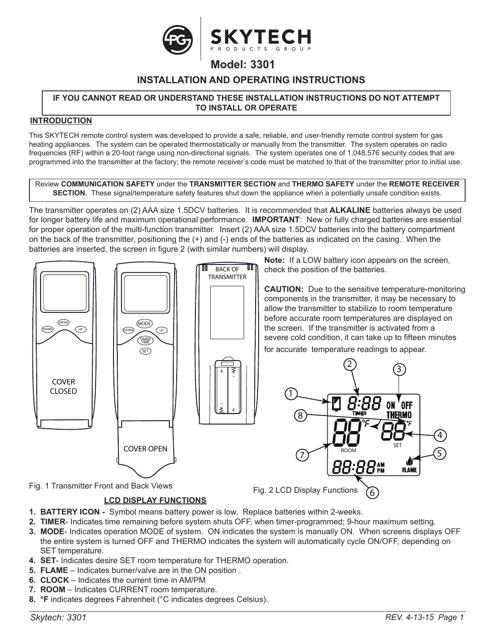

# **Model: 3301**

# **INSTALLATION AND OPERATING INSTRUCTIONS**

#### **IF YOU CANNOT READ OR UNDERSTAND THESE INSTALLATION INSTRUCTIONS DO NOT ATTEMPT TO INSTALL OR OPERATE**

#### **INTRODUCTION**

This SKYTECH remote control system was developed to provide a safe, reliable, and user-friendly remote control system for gas heating appliances. The system can be operated thermostatically or manually from the transmitter. The system operates on radio frequencies (RF) within a 20-foot range using non-directional signals. The system operates one of 1,048,576 security codes that are programmed into the transmitter at the factory; the remote receiver's code must be matched to that of the transmitter prior to initial use.

Review **COMMUNICATION SAFETY** under the **TRANSMITTER SECTION** and **THERMO SAFETY** under the **REMOTE RECEIVER SECTION.** These signal/temperature safety features shut down the appliance when a potentially unsafe condition exists.

The transmitter operates on (2) AAA size 1.5DCV batteries. It is recommended that **ALKALINE** batteries always be used for longer battery life and maximum operational performance. **IMPORTANT**: New or fully charged batteries are essential for proper operation of the multi-function transmitter. Insert (2) AAA size 1.5DCV batteries into the battery compartment on the back of the transmitter, positioning the (+) and (-) ends of the batteries as indicated on the casing. When the batteries are inserted, the screen in figure 2 (with similar numbers) will display.



- **1. BATTERY ICON** Symbol means battery power is low. Replace batteries within 2-weeks.
- **2. TIMER** Indicates time remaining before system shuts OFF, when timer-programmed; 9-hour maximum setting.
- **3. MODE** Indicates operation MODE of system. ON indicates the system is manually ON. When screens displays OFF the entire system is turned OFF and THERMO indicates the system will automatically cycle ON/OFF, depending on SET temperature.
- **4. SET** Indicates desire SET room temperature for THERMO operation.
- **5. FLAME** Indicates burner/valve are in the ON position .
- **6. CLOCK** Indicates the current time in AM/PM
- **7. ROOM** Indicates CURRENT room temperature.
- **8. °F** indicates degrees Fahrenheit (°C indicates degrees Celsius).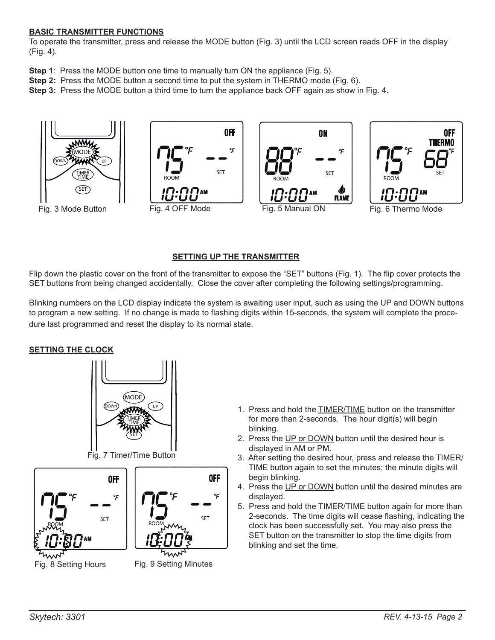#### **BASIC TRANSMITTER FUNCTIONS**

To operate the transmitter, press and release the MODE button (Fig. 3) until the LCD screen reads OFF in the display (Fig. 4).

- **Step 1**: Press the MODE button one time to manually turn ON the appliance (Fig. 5).
- **Step 2:** Press the MODE button a second time to put the system in THERMO mode (Fig. 6).
- **Step 3:** Press the MODE button a third time to turn the appliance back OFF again as show in Fig. 4.



## **SETTING UP THE TRANSMITTER**

Flip down the plastic cover on the front of the transmitter to expose the "SET" buttons (Fig. 1). The flip cover protects the SET buttons from being changed accidentally. Close the cover after completing the following settings/programming.

Blinking numbers on the LCD display indicate the system is awaiting user input, such as using the UP and DOWN buttons to program a new setting. If no change is made to flashing digits within 15-seconds, the system will complete the proce-<br>Class last are reserved and read the display to its assessed state. dure last programmed and reset the display to its normal state.

#### **SETTING THE CLOCK**





Fig. 8 Setting Hours Fig. 9 Setting Minutes



٩c

- 1. Press and hold the TIMER/TIME button on the transmitter for more than 2-seconds. The hour digit(s) will begin blinking.
- 2. Press the UP or DOWN button until the desired hour is displayed in AM or PM.
- 3. After setting the desired hour, press and release the TIMER/ TIME button again to set the minutes; the minute digits will begin blinking.
- 4. Press the UP or DOWN button until the desired minutes are displayed.
- 5. Press and hold the **TIMER/TIME** button again for more than 2-seconds. The time digits will cease flashing, indicating the clock has been successfully set. You may also press the SET button on the transmitter to stop the time digits from blinking and set the time.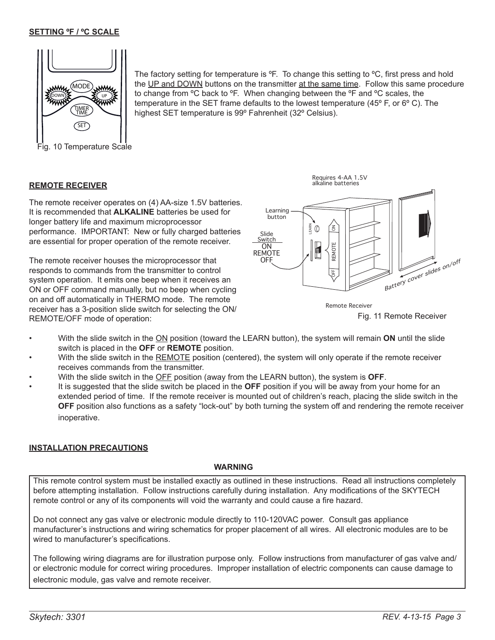#### **SETTING ºF / ºC SCALE**



the UP and DOWN buttons on the transmitter at the same time. Follow this same procedure to change from  $\rm{^oC}$  back to  $\rm{^oF}$ . When changing between the  $\rm{^oF}$  and  $\rm{^oC}$  scales, the temperature in the SET frame defaults to the lowest temperature  $(45^{\circ}$  F, or 6 $^{\circ}$  C). The highest SET temperature is 99º Fahrenheit (32º Celsius).

The factory setting for temperature is  ${}^{\circ}$ F. To change this setting to  ${}^{\circ}$ C, first press and hold

# **REMOTE RECEIVER**

The remote receiver operates on (4) AA-size 1.5V batteries. It is recommended that **ALKALINE** batteries be used for longer battery life and maximum microprocessor performance. IMPORTANT: New or fully charged batteries are essential for proper operation of the remote receiver.

The remote receiver houses the microprocessor that responds to commands from the transmitter to control system operation. It emits one beep when it receives an ON or OFF command manually, but no beep when cycling on and off automatically in THERMO mode. The remote receiver has a 3-position slide switch for selecting the ON/ REMOTE/OFF mode of operation:



Requires 4-AA 1.5V



- With the slide switch in the ON position (toward the LEARN button), the system will remain **ON** until the slide switch is placed in the **OFF** or **REMOTE** position.
- With the slide switch in the REMOTE position (centered), the system will only operate if the remote receiver receives commands from the transmitter.
- With the slide switch in the OFF position (away from the LEARN button), the system is **OFF**.
- It is suggested that the slide switch be placed in the **OFF** position if you will be away from your home for an extended period of time. If the remote receiver is mounted out of children's reach, placing the slide switch in the **OFF** position also functions as a safety "lock-out" by both turning the system off and rendering the remote receiver inoperative.

#### **INSTALLATION PRECAUTIONS**

#### **WARNING**

This remote control system must be installed exactly as outlined in these instructions. Read all instructions completely before attempting installation. Follow instructions carefully during installation. Any modifications of the SKYTECH remote control or any of its components will void the warranty and could cause a fire hazard.

Do not connect any gas valve or electronic module directly to 110-120VAC power. Consult gas appliance manufacturer's instructions and wiring schematics for proper placement of all wires. All electronic modules are to be wired to manufacturer's specifications.

The following wiring diagrams are for illustration purpose only. Follow instructions from manufacturer of gas valve and/ or electronic module for correct wiring procedures. Improper installation of electric components can cause damage to electronic module, gas valve and remote receiver.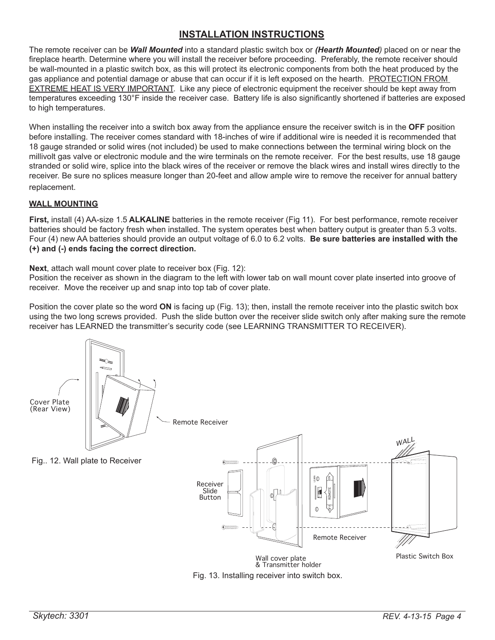# **INSTALLATION INSTRUCTIONS**

The remote receiver can be *Wall Mounted* into a standard plastic switch box or *(Hearth Mounted)* placed on or near the fireplace hearth. Determine where you will install the receiver before proceeding. Preferably, the remote receiver should be wall-mounted in a plastic switch box, as this will protect its electronic components from both the heat produced by the gas appliance and potential damage or abuse that can occur if it is left exposed on the hearth. PROTECTION FROM EXTREME HEAT IS VERY IMPORTANT. Like any piece of electronic equipment the receiver should be kept away from temperatures exceeding 130°F inside the receiver case. Battery life is also significantly shortened if batteries are exposed to high temperatures.

When installing the receiver into a switch box away from the appliance ensure the receiver switch is in the **OFF** position before installing. The receiver comes standard with 18-inches of wire if additional wire is needed it is recommended that 18 gauge stranded or solid wires (not included) be used to make connections between the terminal wiring block on the millivolt gas valve or electronic module and the wire terminals on the remote receiver. For the best results, use 18 gauge stranded or solid wire, splice into the black wires of the receiver or remove the black wires and install wires directly to the receiver. Be sure no splices measure longer than 20-feet and allow ample wire to remove the receiver for annual battery replacement.

## **WALL MOUNTING**

**First,** install (4) AA-size 1.5 **ALKALINE** batteries in the remote receiver (Fig 11). For best performance, remote receiver batteries should be factory fresh when installed. The system operates best when battery output is greater than 5.3 volts. Four (4) new AA batteries should provide an output voltage of 6.0 to 6.2 volts. **Be sure batteries are installed with the (+) and (-) ends facing the correct direction.** 

**Next**, attach wall mount cover plate to receiver box (Fig. 12):

Position the receiver as shown in the diagram to the left with lower tab on wall mount cover plate inserted into groove of receiver. Move the receiver up and snap into top tab of cover plate.

Position the cover plate so the word **ON** is facing up (Fig. 13); then, install the remote receiver into the plastic switch box using the two long screws provided. Push the slide button over the receiver slide switch only after making sure the remote receiver has LEARNED the transmitter's security code (see LEARNING TRANSMITTER TO RECEIVER).

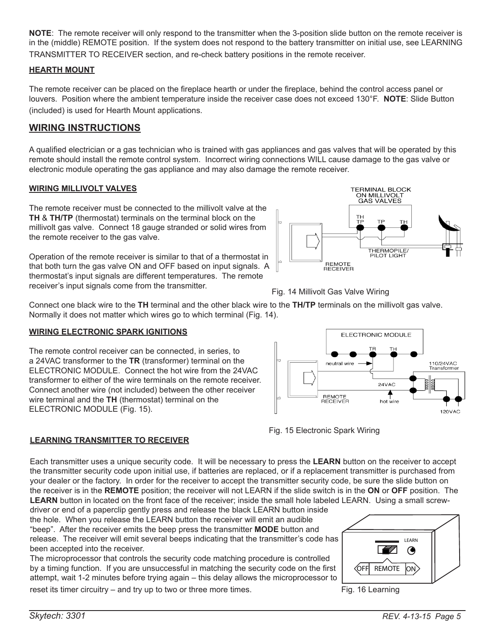**NOTE**: The remote receiver will only respond to the transmitter when the 3-position slide button on the remote receiver is in the (middle) REMOTE position. If the system does not respond to the battery transmitter on initial use, see LEARNING TRANSMITTER TO RECEIVER section, and re-check battery positions in the remote receiver.

### **HEARTH MOUNT**

The remote receiver can be placed on the fireplace hearth or under the fireplace, behind the control access panel or louvers. Position where the ambient temperature inside the receiver case does not exceed 130°F. **NOTE**: Slide Button (included) is used for Hearth Mount applications.

## **WIRING INSTRUCTIONS**

A qualified electrician or a gas technician who is trained with gas appliances and gas valves that will be operated by this remote should install the remote control system. Incorrect wiring connections WILL cause damage to the gas valve or electronic module operating the gas appliance and may also damage the remote receiver.

#### **WIRING MILLIVOLT VALVES**

The remote receiver must be connected to the millivolt valve at the **TH** & **TH/TP** (thermostat) terminals on the terminal block on the millivolt gas valve. Connect 18 gauge stranded or solid wires from the remote receiver to the gas valve.

Operation of the remote receiver is similar to that of a thermostat in that both turn the gas valve ON and OFF based on input signals. A thermostat's input signals are different temperatures. The remote receiver's input signals come from the transmitter.



Fig. 14 Millivolt Gas Valve Wiring

Connect one black wire to the **TH** terminal and the other black wire to the **TH/TP** terminals on the millivolt gas valve. Normally it does not matter which wires go to which terminal (Fig. 14).

#### **WIRING ELECTRONIC SPARK IGNITIONS**

The remote control receiver can be connected, in series, to a 24VAC transformer to the **TR** (transformer) terminal on the ELECTRONIC MODULE. Connect the hot wire from the 24VAC transformer to either of the wire terminals on the remote receiver. Connect another wire (not included) between the other receiver wire terminal and the **TH** (thermostat) terminal on the ELECTRONIC MODULE (Fig. 15).





## **LEARNING TRANSMITTER TO RECEIVER**

Each transmitter uses a unique security code. It will be necessary to press the **LEARN** button on the receiver to accept the transmitter security code upon initial use, if batteries are replaced, or if a replacement transmitter is purchased from your dealer or the factory. In order for the receiver to accept the transmitter security code, be sure the slide button on the receiver is in the **REMOTE** position; the receiver will not LEARN if the slide switch is in the **ON** or **OFF** position. The **LEARN** button in located on the front face of the receiver; inside the small hole labeled LEARN. Using a small screw-

driver or end of a paperclip gently press and release the black LEARN button inside the hole. When you release the LEARN button the receiver will emit an audible "beep". After the receiver emits the beep press the transmitter **MODE** button and release. The receiver will emit several beeps indicating that the transmitter's code has been accepted into the receiver.

The microprocessor that controls the security code matching procedure is controlled by a timing function. If you are unsuccessful in matching the security code on the first attempt, wait 1-2 minutes before trying again – this delay allows the microprocessor to reset its timer circuitry – and try up to two or three more times.



Fig. 16 Learning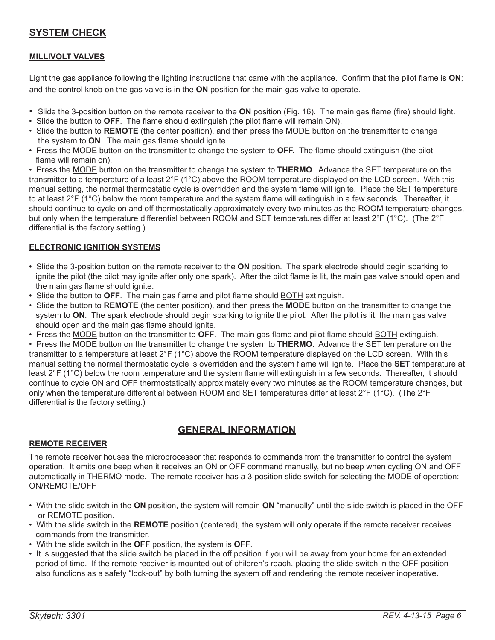# **SYSTEM CHECK**

## **MILLIVOLT VALVES**

Light the gas appliance following the lighting instructions that came with the appliance. Confirm that the pilot flame is **ON**; and the control knob on the gas valve is in the **ON** position for the main gas valve to operate.

- Slide the 3-position button on the remote receiver to the **ON** position (Fig. 16). The main gas flame (fire) should light.
- Slide the button to **OFF**. The flame should extinguish (the pilot flame will remain ON).
- Slide the button to **REMOTE** (the center position), and then press the MODE button on the transmitter to change the system to **ON**. The main gas flame should ignite.
- Press the MODE button on the transmitter to change the system to **OFF.** The flame should extinguish (the pilot flame will remain on).

• Press the MODE button on the transmitter to change the system to **THERMO**. Advance the SET temperature on the transmitter to a temperature of a least 2°F (1°C) above the ROOM temperature displayed on the LCD screen. With this manual setting, the normal thermostatic cycle is overridden and the system flame will ignite. Place the SET temperature to at least 2°F (1°C) below the room temperature and the system flame will extinguish in a few seconds. Thereafter, it should continue to cycle on and off thermostatically approximately every two minutes as the ROOM temperature changes, but only when the temperature differential between ROOM and SET temperatures differ at least 2°F (1°C). (The 2°F differential is the factory setting.)

#### **ELECTRONIC IGNITION SYSTEMS**

- Slide the 3-position button on the remote receiver to the **ON** position. The spark electrode should begin sparking to ignite the pilot (the pilot may ignite after only one spark). After the pilot flame is lit, the main gas valve should open and the main gas flame should ignite.
- Slide the button to **OFF**. The main gas flame and pilot flame should BOTH extinguish.
- Slide the button to **REMOTE** (the center position), and then press the **MODE** button on the transmitter to change the system to **ON**. The spark electrode should begin sparking to ignite the pilot. After the pilot is lit, the main gas valve should open and the main gas flame should ignite.
- Press the MODE button on the transmitter to **OFF**. The main gas flame and pilot flame should BOTH extinguish.

• Press the MODE button on the transmitter to change the system to **THERMO**. Advance the SET temperature on the transmitter to a temperature at least 2°F (1°C) above the ROOM temperature displayed on the LCD screen. With this manual setting the normal thermostatic cycle is overridden and the system flame will ignite. Place the **SET** temperature at least 2°F (1°C) below the room temperature and the system flame will extinguish in a few seconds. Thereafter, it should continue to cycle ON and OFF thermostatically approximately every two minutes as the ROOM temperature changes, but only when the temperature differential between ROOM and SET temperatures differ at least 2°F (1°C). (The 2°F differential is the factory setting.)

# **GENERAL INFORMATION**

#### **REMOTE RECEIVER**

The remote receiver houses the microprocessor that responds to commands from the transmitter to control the system operation. It emits one beep when it receives an ON or OFF command manually, but no beep when cycling ON and OFF automatically in THERMO mode. The remote receiver has a 3-position slide switch for selecting the MODE of operation: ON/REMOTE/OFF

- With the slide switch in the **ON** position, the system will remain **ON** "manually" until the slide switch is placed in the OFF or REMOTE position.
- With the slide switch in the **REMOTE** position (centered), the system will only operate if the remote receiver receives commands from the transmitter.
- With the slide switch in the **OFF** position, the system is **OFF**.
- It is suggested that the slide switch be placed in the off position if you will be away from your home for an extended period of time. If the remote receiver is mounted out of children's reach, placing the slide switch in the OFF position also functions as a safety "lock-out" by both turning the system off and rendering the remote receiver inoperative.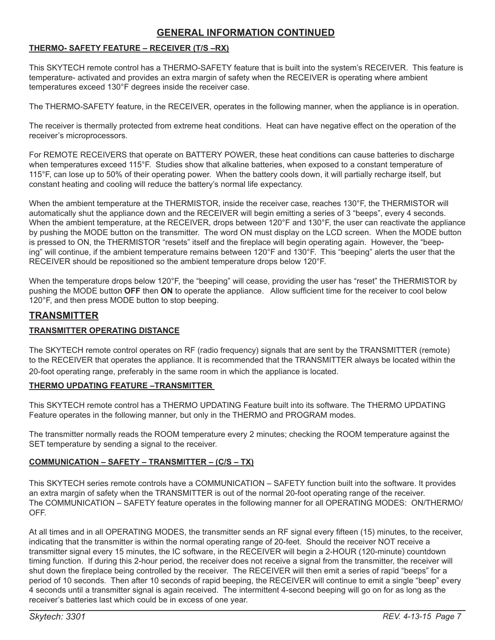# **GENERAL INFORMATION CONTINUED**

## **THERMO- SAFETY FEATURE – RECEIVER (T/S –RX)**

This SKYTECH remote control has a THERMO-SAFETY feature that is built into the system's RECEIVER. This feature is temperature- activated and provides an extra margin of safety when the RECEIVER is operating where ambient temperatures exceed 130°F degrees inside the receiver case.

The THERMO-SAFETY feature, in the RECEIVER, operates in the following manner, when the appliance is in operation.

The receiver is thermally protected from extreme heat conditions. Heat can have negative effect on the operation of the receiver's microprocessors.

For REMOTE RECEIVERS that operate on BATTERY POWER, these heat conditions can cause batteries to discharge when temperatures exceed 115°F. Studies show that alkaline batteries, when exposed to a constant temperature of 115°F, can lose up to 50% of their operating power. When the battery cools down, it will partially recharge itself, but constant heating and cooling will reduce the battery's normal life expectancy.

When the ambient temperature at the THERMISTOR, inside the receiver case, reaches 130°F, the THERMISTOR will automatically shut the appliance down and the RECEIVER will begin emitting a series of 3 "beeps", every 4 seconds. When the ambient temperature, at the RECEIVER, drops between 120°F and 130°F, the user can reactivate the appliance by pushing the MODE button on the transmitter. The word ON must display on the LCD screen. When the MODE button is pressed to ON, the THERMISTOR "resets" itself and the fireplace will begin operating again. However, the "beeping" will continue, if the ambient temperature remains between 120°F and 130°F. This "beeping" alerts the user that the RECEIVER should be repositioned so the ambient temperature drops below 120°F.

When the temperature drops below 120°F, the "beeping" will cease, providing the user has "reset" the THERMISTOR by pushing the MODE button **OFF** then **ON** to operate the appliance. Allow sufficient time for the receiver to cool below 120°F, and then press MODE button to stop beeping.

# **TRANSMITTER**

#### **TRANSMITTER OPERATING DISTANCE**

The SKYTECH remote control operates on RF (radio frequency) signals that are sent by the TRANSMITTER (remote) to the RECEIVER that operates the appliance. It is recommended that the TRANSMITTER always be located within the 20-foot operating range, preferably in the same room in which the appliance is located.

#### **THERMO UPDATING FEATURE –TRANSMITTER**

This SKYTECH remote control has a THERMO UPDATING Feature built into its software. The THERMO UPDATING Feature operates in the following manner, but only in the THERMO and PROGRAM modes.

The transmitter normally reads the ROOM temperature every 2 minutes; checking the ROOM temperature against the SET temperature by sending a signal to the receiver.

#### **COMMUNICATION – SAFETY – TRANSMITTER – (C/S – TX)**

This SKYTECH series remote controls have a COMMUNICATION – SAFETY function built into the software. It provides an extra margin of safety when the TRANSMITTER is out of the normal 20-foot operating range of the receiver. The COMMUNICATION – SAFETY feature operates in the following manner for all OPERATING MODES: ON/THERMO/ OFF.

At all times and in all OPERATING MODES, the transmitter sends an RF signal every fifteen (15) minutes, to the receiver, indicating that the transmitter is within the normal operating range of 20-feet. Should the receiver NOT receive a transmitter signal every 15 minutes, the IC software, in the RECEIVER will begin a 2-HOUR (120-minute) countdown timing function. If during this 2-hour period, the receiver does not receive a signal from the transmitter, the receiver will shut down the fireplace being controlled by the receiver. The RECEIVER will then emit a series of rapid "beeps" for a period of 10 seconds. Then after 10 seconds of rapid beeping, the RECEIVER will continue to emit a single "beep" every 4 seconds until a transmitter signal is again received. The intermittent 4-second beeping will go on for as long as the receiver's batteries last which could be in excess of one year.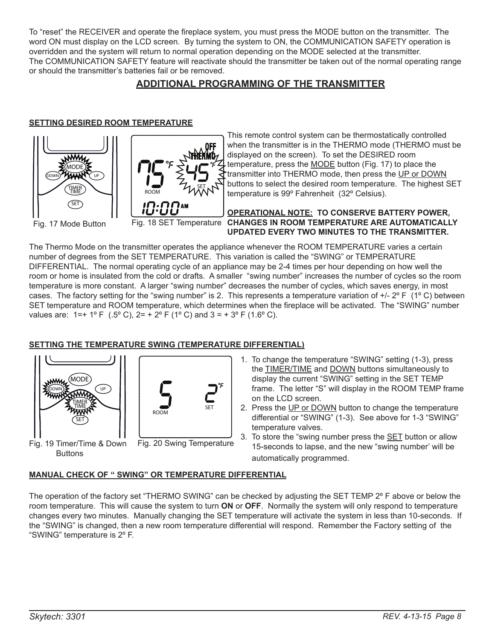To "reset" the RECEIVER and operate the fireplace system, you must press the MODE button on the transmitter. The word ON must display on the LCD screen. By turning the system to ON, the COMMUNICATION SAFETY operation is overridden and the system will return to normal operation depending on the MODE selected at the transmitter. The COMMUNICATION SAFETY feature will reactivate should the transmitter be taken out of the normal operating range or should the transmitter's batteries fail or be removed.

# **ADDITIONAL PROGRAMMING OF THE TRANSMITTER**

## **SETTING DESIRED ROOM TEMPERATURE**



This remote control system can be thermostatically controlled when the transmitter is in the THERMO mode (THERMO must be displayed on the screen). To set the DESIRED room temperature, press the MODE button (Fig. 17) to place the transmitter into THERMO mode, then press the UP or DOWN buttons to select the desired room temperature. The highest SET temperature is 99º Fahrenheit (32º Celsius).

#### **OPERATIONAL NOTE: TO CONSERVE BATTERY POWER,**  Fig. 17 Mode Button **Fig. 18 SET Temperature CHANGES IN ROOM TEMPERATURE ARE AUTOMATICALLY UPDATED EVERY TWO MINUTES TO THE TRANSMITTER.**

The Thermo Mode on the transmitter operates the appliance whenever the ROOM TEMPERATURE varies a certain number of degrees from the SET TEMPERATURE. This variation is called the "SWING" or TEMPERATURE DIFFERENTIAL. The normal operating cycle of an appliance may be 2-4 times per hour depending on how well the room or home is insulated from the cold or drafts. A smaller "swing number" increases the number of cycles so the room temperature is more constant. A larger "swing number" decreases the number of cycles, which saves energy, in most cases. The factory setting for the "swing number" is 2. This represents a temperature variation of  $+/-2^{\circ}$  F (1°C) between SET temperature and ROOM temperature, which determines when the fireplace will be activated. The "SWING" number values are:  $1=+1^{\circ}F$  (.5° C),  $2=+2^{\circ}F$  (1° C) and  $3=+3^{\circ}F$  (1.6° C).

## **SETTING THE TEMPERATURE SWING (TEMPERATURE DIFFERENTIAL)**





Fig. 19 Timer/Time & Down **Buttons** 

- Fig. 20 Swing Temperature
- 1. To change the temperature "SWING" setting (1-3), press the TIMER/TIME and DOWN buttons simultaneously to display the current "SWING" setting in the SET TEMP frame. The letter "S" will display in the ROOM TEMP frame on the LCD screen.
- 2. Press the UP or DOWN button to change the temperature differential or "SWING" (1-3). See above for 1-3 "SWING" temperature valves.
	- 3. To store the "swing number press the SET button or allow 15-seconds to lapse, and the new "swing number' will be automatically programmed.

#### **MANUAL CHECK OF " SWING" OR TEMPERATURE DIFFERENTIAL**

The operation of the factory set "THERMO SWING" can be checked by adjusting the SET TEMP 2º F above or below the room temperature. This will cause the system to turn **ON** or **OFF**. Normally the system will only respond to temperature changes every two minutes. Manually changing the SET temperature will activate the system in less than 10-seconds. If the "SWING" is changed, then a new room temperature differential will respond. Remember the Factory setting of the "SWING" temperature is 2º F.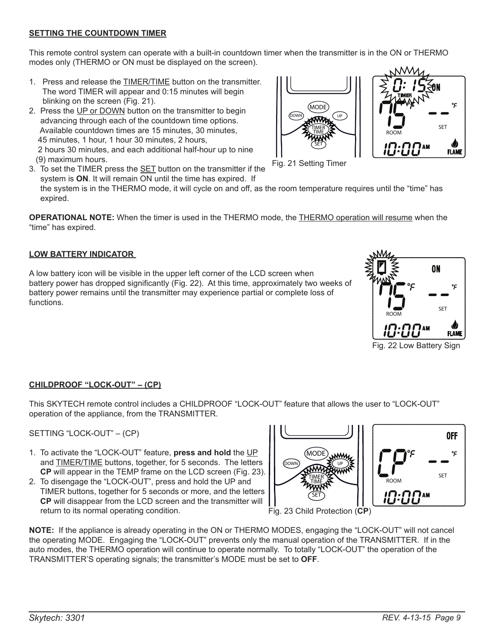# **SETTING THE COUNTDOWN TIMER**

This remote control system can operate with a built-in countdown timer when the transmitter is in the ON or THERMO modes only (THERMO or ON must be displayed on the screen).

- 1. Press and release the **TIMER/TIME** button on the transmitter. The word TIMER will appear and 0:15 minutes will begin blinking on the screen (Fig. 21).
- 2. Press the UP or DOWN button on the transmitter to begin advancing through each of the countdown time options. Available countdown times are 15 minutes, 30 minutes, 45 minutes, 1 hour, 1 hour 30 minutes, 2 hours, 2 hours 30 minutes, and each additional half-hour up to nine (9) maximum hours.
- 3. To set the TIMER press the SET button on the transmitter if the system is **ON**. It will remain ON until the time has expired. If

 the system is in the THERMO mode, it will cycle on and off, as the room temperature requires until the "time" has expired.

**OPERATIONAL NOTE:** When the timer is used in the THERMO mode, the THERMO operation will resume when the "time" has expired.

# **LOW BATTERY INDICATOR**

A low battery icon will be visible in the upper left corner of the LCD screen when battery power has dropped significantly (Fig. 22). At this time, approximately two weeks of battery power remains until the transmitter may experience partial or complete loss of functions.

# **CHILDPROOF "LOCK-OUT" – (CP)**

This SKYTECH remote control includes a CHILDPROOF "LOCK-OUT" feature that allows the user to "LOCK-OUT" operation of the appliance, from the TRANSMITTER.

SETTING "LOCK-OUT" – (CP)

- 1. To activate the "LOCK-OUT" feature, **press and hold** the UP and **TIMER/TIME** buttons, together, for 5 seconds. The letters **CP** will appear in the TEMP frame on the LCD screen (Fig. 23).
- 2. To disengage the "LOCK-OUT", press and hold the UP and TIMER buttons, together for 5 seconds or more, and the letters **CP** will disappear from the LCD screen and the transmitter will return to its normal operating condition.

**NOTE:** If the appliance is already operating in the ON or THERMO MODES, engaging the "LOCK-OUT" will not cancel the operating MODE. Engaging the "LOCK-OUT" prevents only the manual operation of the TRANSMITTER. If in the auto modes, the THERMO operation will continue to operate normally. To totally "LOCK-OUT" the operation of the TRANSMITTER'S operating signals; the transmitter's MODE must be set to **OFF**.

Fig. 21 Setting Timer

DOWN) UP MODE

> SET TIME TIMER





Fig. 22 Low Battery Sign

ROOM

Fig. 23 Child Protection (**CP**)

SET

0FF

℃



MODE

**DOWN**